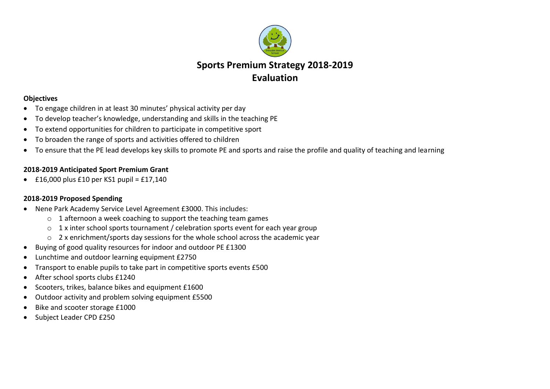

## **Objectives**

- To engage children in at least 30 minutes' physical activity per day
- To develop teacher's knowledge, understanding and skills in the teaching PE
- To extend opportunities for children to participate in competitive sport
- To broaden the range of sports and activities offered to children
- To ensure that the PE lead develops key skills to promote PE and sports and raise the profile and quality of teaching and learning

## **2018-2019 Anticipated Sport Premium Grant**

 $\cdot$  £16,000 plus £10 per KS1 pupil = £17,140

## **2018-2019 Proposed Spending**

- Nene Park Academy Service Level Agreement £3000. This includes:
	- o 1 afternoon a week coaching to support the teaching team games
	- $\circ$  1 x inter school sports tournament / celebration sports event for each year group
	- o 2 x enrichment/sports day sessions for the whole school across the academic year
- Buying of good quality resources for indoor and outdoor PE £1300
- Lunchtime and outdoor learning equipment £2750
- Transport to enable pupils to take part in competitive sports events £500
- After school sports clubs £1240
- Scooters, trikes, balance bikes and equipment £1600
- Outdoor activity and problem solving equipment £5500
- Bike and scooter storage £1000
- Subject Leader CPD £250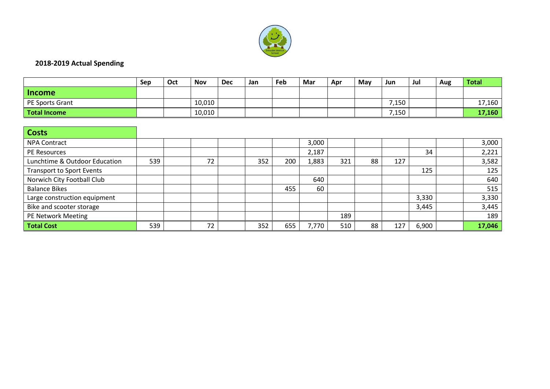

## **2018-2019 Actual Spending**

|                                  | Sep | Oct | <b>Nov</b> | <b>Dec</b> | Jan | Feb | Mar   | Apr | May | Jun   | Jul   | Aug | <b>Total</b> |
|----------------------------------|-----|-----|------------|------------|-----|-----|-------|-----|-----|-------|-------|-----|--------------|
| <b>Income</b>                    |     |     |            |            |     |     |       |     |     |       |       |     |              |
| PE Sports Grant                  |     |     | 10,010     |            |     |     |       |     |     | 7,150 |       |     | 17,160       |
| <b>Total Income</b>              |     |     | 10,010     |            |     |     |       |     |     | 7,150 |       |     | 17,160       |
|                                  |     |     |            |            |     |     |       |     |     |       |       |     |              |
| <b>Costs</b>                     |     |     |            |            |     |     |       |     |     |       |       |     |              |
| <b>NPA Contract</b>              |     |     |            |            |     |     | 3,000 |     |     |       |       |     | 3,000        |
| PE Resources                     |     |     |            |            |     |     | 2,187 |     |     |       | 34    |     | 2,221        |
| Lunchtime & Outdoor Education    | 539 |     | 72         |            | 352 | 200 | 1,883 | 321 | 88  | 127   |       |     | 3,582        |
| <b>Transport to Sport Events</b> |     |     |            |            |     |     |       |     |     |       | 125   |     | 125          |
| Norwich City Football Club       |     |     |            |            |     |     | 640   |     |     |       |       |     | 640          |
| <b>Balance Bikes</b>             |     |     |            |            |     | 455 | 60    |     |     |       |       |     | 515          |
| Large construction equipment     |     |     |            |            |     |     |       |     |     |       | 3,330 |     | 3,330        |
| Bike and scooter storage         |     |     |            |            |     |     |       |     |     |       | 3,445 |     | 3,445        |
| PE Network Meeting               |     |     |            |            |     |     |       | 189 |     |       |       |     | 189          |
| <b>Total Cost</b>                | 539 |     | 72         |            | 352 | 655 | 7,770 | 510 | 88  | 127   | 6,900 |     | 17,046       |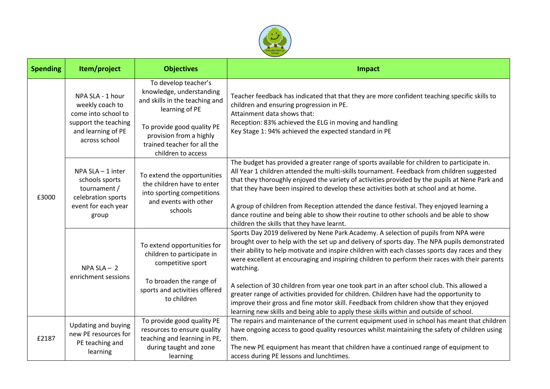

| <b>Spending</b> | Item/project                                                                                                              | <b>Objectives</b>                                                                                                                                                                                                  | Impact                                                                                                                                                                                                                                                                                                                                                                                                                                                                                                                                                                                                                                                                                                                                                                              |  |  |  |  |  |
|-----------------|---------------------------------------------------------------------------------------------------------------------------|--------------------------------------------------------------------------------------------------------------------------------------------------------------------------------------------------------------------|-------------------------------------------------------------------------------------------------------------------------------------------------------------------------------------------------------------------------------------------------------------------------------------------------------------------------------------------------------------------------------------------------------------------------------------------------------------------------------------------------------------------------------------------------------------------------------------------------------------------------------------------------------------------------------------------------------------------------------------------------------------------------------------|--|--|--|--|--|
| £3000           | NPA SLA - 1 hour<br>weekly coach to<br>come into school to<br>support the teaching<br>and learning of PE<br>across school | To develop teacher's<br>knowledge, understanding<br>and skills in the teaching and<br>learning of PE<br>To provide good quality PE<br>provision from a highly<br>trained teacher for all the<br>children to access | Teacher feedback has indicated that that they are more confident teaching specific skills to<br>children and ensuring progression in PE.<br>Attainment data shows that:<br>Reception: 83% achieved the ELG in moving and handling<br>Key Stage 1: 94% achieved the expected standard in PE                                                                                                                                                                                                                                                                                                                                                                                                                                                                                          |  |  |  |  |  |
|                 | NPA SLA - 1 inter<br>schools sports<br>tournament /<br>celebration sports<br>event for each year<br>group                 | To extend the opportunities<br>the children have to enter<br>into sporting competitions<br>and events with other<br>schools                                                                                        | The budget has provided a greater range of sports available for children to participate in.<br>All Year 1 children attended the multi-skills tournament. Feedback from children suggested<br>that they thoroughly enjoyed the variety of activities provided by the pupils at Nene Park and<br>that they have been inspired to develop these activities both at school and at home.<br>A group of children from Reception attended the dance festival. They enjoyed learning a<br>dance routine and being able to show their routine to other schools and be able to show<br>children the skills that they have learnt.                                                                                                                                                             |  |  |  |  |  |
|                 | $NPA SLA - 2$<br>enrichment sessions                                                                                      | To extend opportunities for<br>children to participate in<br>competitive sport<br>To broaden the range of<br>sports and activities offered<br>to children                                                          | Sports Day 2019 delivered by Nene Park Academy. A selection of pupils from NPA were<br>brought over to help with the set up and delivery of sports day. The NPA pupils demonstrated<br>their ability to help motivate and inspire children with each classes sports day races and they<br>were excellent at encouraging and inspiring children to perform their races with their parents<br>watching.<br>A selection of 30 children from year one took part in an after school club. This allowed a<br>greater range of activities provided for children. Children have had the opportunity to<br>improve their gross and fine motor skill. Feedback from children show that they enjoyed<br>learning new skills and being able to apply these skills within and outside of school. |  |  |  |  |  |
| £2187           | Updating and buying<br>new PE resources for<br>PE teaching and<br>learning                                                | To provide good quality PE<br>resources to ensure quality<br>teaching and learning in PE,<br>during taught and zone<br>learning                                                                                    | The repairs and maintenance of the current equipment used in school has meant that children<br>have ongoing access to good quality resources whilst maintaining the safety of children using<br>them.<br>The new PE equipment has meant that children have a continued range of equipment to<br>access during PE lessons and lunchtimes.                                                                                                                                                                                                                                                                                                                                                                                                                                            |  |  |  |  |  |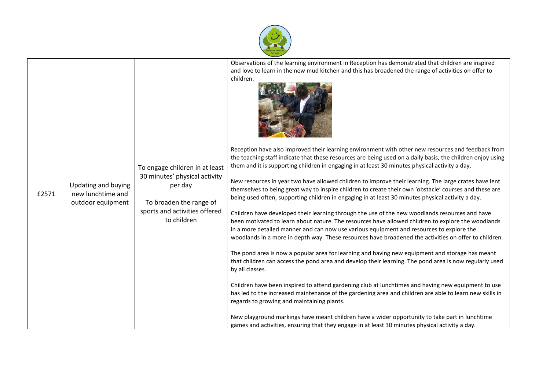

|       |                                                               |                                                                                                                                                       | Observations of the learning environment in Reception has demonstrated that children are inspired<br>and love to learn in the new mud kitchen and this has broadened the range of activities on offer to<br>children.                                                                                                                                                                                                                                                                                                                                                                                                                                                                                                                                                                                                                                                                                                                                                                                                                                                                                                                                                                                                                                                                                                                                                                                                                                                                                                                                                                                                                                                                                                                                       |  |  |  |  |  |
|-------|---------------------------------------------------------------|-------------------------------------------------------------------------------------------------------------------------------------------------------|-------------------------------------------------------------------------------------------------------------------------------------------------------------------------------------------------------------------------------------------------------------------------------------------------------------------------------------------------------------------------------------------------------------------------------------------------------------------------------------------------------------------------------------------------------------------------------------------------------------------------------------------------------------------------------------------------------------------------------------------------------------------------------------------------------------------------------------------------------------------------------------------------------------------------------------------------------------------------------------------------------------------------------------------------------------------------------------------------------------------------------------------------------------------------------------------------------------------------------------------------------------------------------------------------------------------------------------------------------------------------------------------------------------------------------------------------------------------------------------------------------------------------------------------------------------------------------------------------------------------------------------------------------------------------------------------------------------------------------------------------------------|--|--|--|--|--|
| £2571 | Updating and buying<br>new lunchtime and<br>outdoor equipment | To engage children in at least<br>30 minutes' physical activity<br>per day<br>To broaden the range of<br>sports and activities offered<br>to children | Reception have also improved their learning environment with other new resources and feedback from<br>the teaching staff indicate that these resources are being used on a daily basis, the children enjoy using<br>them and it is supporting children in engaging in at least 30 minutes physical activity a day.<br>New resources in year two have allowed children to improve their learning. The large crates have lent<br>themselves to being great way to inspire children to create their own 'obstacle' courses and these are<br>being used often, supporting children in engaging in at least 30 minutes physical activity a day.<br>Children have developed their learning through the use of the new woodlands resources and have<br>been motivated to learn about nature. The resources have allowed children to explore the woodlands<br>in a more detailed manner and can now use various equipment and resources to explore the<br>woodlands in a more in depth way. These resources have broadened the activities on offer to children.<br>The pond area is now a popular area for learning and having new equipment and storage has meant<br>that children can access the pond area and develop their learning. The pond area is now regularly used<br>by all classes.<br>Children have been inspired to attend gardening club at lunchtimes and having new equipment to use<br>has led to the increased maintenance of the gardening area and children are able to learn new skills in<br>regards to growing and maintaining plants.<br>New playground markings have meant children have a wider opportunity to take part in lunchtime<br>games and activities, ensuring that they engage in at least 30 minutes physical activity a day. |  |  |  |  |  |